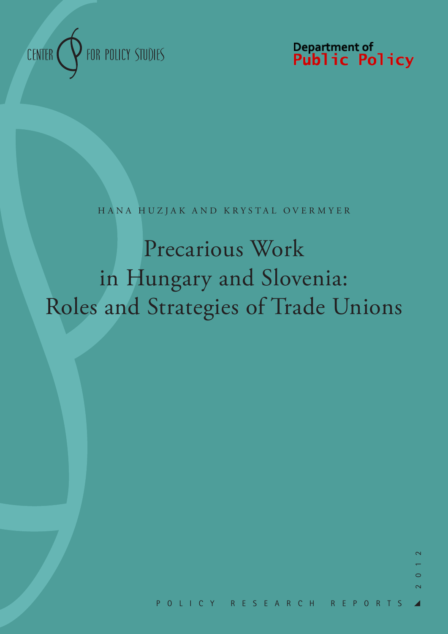

Department of<br>**Public Policy** 

HANA HUZJAK AND KRYSTAL OVERMYER

Precarious Work in Hungary and Slovenia: Roles and Strategies of Trade Unions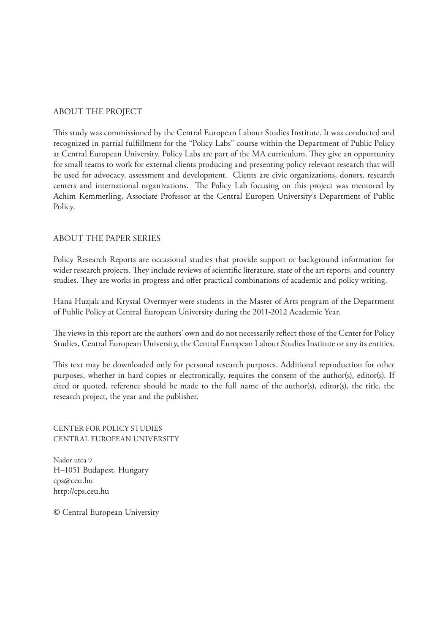## ABOUT THE PROJECT

This study was commissioned by the Central European Labour Studies Institute. It was conducted and recognized in partial fulfillment for the "Policy Labs" course within the Department of Public Policy at Central European University. Policy Labs are part of the MA curriculum. They give an opportunity for small teams to work for external clients producing and presenting policy relevant research that will be used for advocacy, assessment and development. Clients are civic organizations, donors, research centers and international organizations. The Policy Lab focusing on this project was mentored by Achim Kemmerling, Associate Professor at the Central Europen University's Department of Public Policy.

## ABOUT THE PAPER SERIES

Policy Research Reports are occasional studies that provide support or background information for wider research projects. They include reviews of scientific literature, state of the art reports, and country studies. They are works in progress and offer practical combinations of academic and policy writing.

Hana Huzjak and Krystal Overmyer were students in the Master of Arts program of the Department of Public Policy at Central European University during the 2011-2012 Academic Year.

The views in this report are the authors' own and do not necessarily reflect those of the Center for Policy Studies, Central European University, the Central European Labour Studies Institute or any its entities.

This text may be downloaded only for personal research purposes. Additional reproduction for other purposes, whether in hard copies or electronically, requires the consent of the author(s), editor(s). If cited or quoted, reference should be made to the full name of the author(s), editor(s), the title, the research project, the year and the publisher.

CENTER FOR POLICY STUDIES CENTRAL EUROPEAN UNIVERSITY

Nador utca 9 H–1051 Budapest, Hungary cps@ceu.hu http://cps.ceu.hu

© Central European University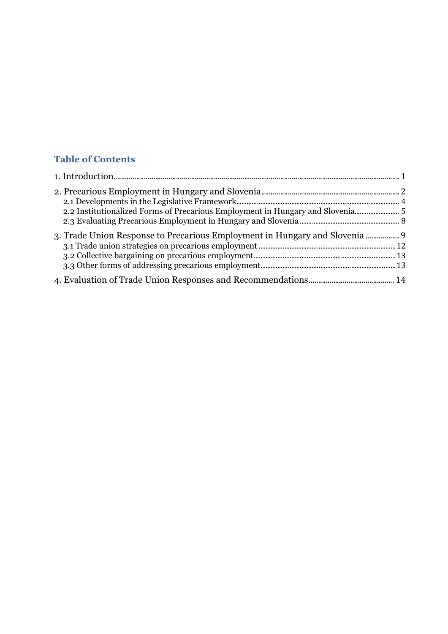# **Table of Contents**

| 2.2 Institutionalized Forms of Precarious Employment in Hungary and Slovenia5 |  |
|-------------------------------------------------------------------------------|--|
| 3. Trade Union Response to Precarious Employment in Hungary and Slovenia      |  |
|                                                                               |  |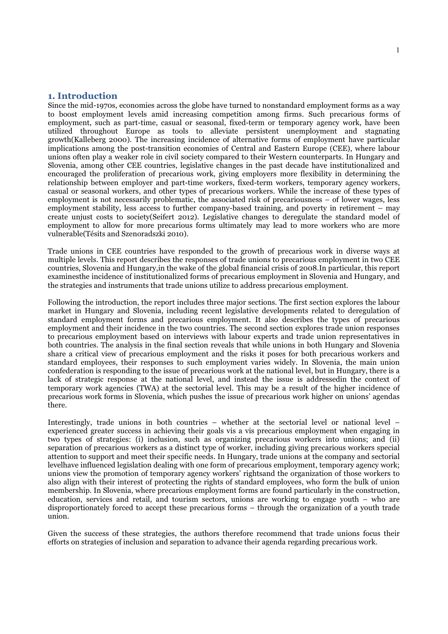## **1. Introduction**

Since the mid-1970s, economies across the globe have turned to nonstandard employment forms as a way to boost employment levels amid increasing competition among firms. Such precarious forms of employment, such as part-time, casual or seasonal, fixed-term or temporary agency work, have been utilized throughout Europe as tools to alleviate persistent unemployment and stagnating growth(Kalleberg 2000). The increasing incidence of alternative forms of employment have particular implications among the post-transition economies of Central and Eastern Europe (CEE), where labour unions often play a weaker role in civil society compared to their Western counterparts. In Hungary and Slovenia, among other CEE countries, legislative changes in the past decade have institutionalized and encouraged the proliferation of precarious work, giving employers more flexibility in determining the relationship between employer and part-time workers, fixed-term workers, temporary agency workers, casual or seasonal workers, and other types of precarious workers. While the increase of these types of employment is not necessarily problematic, the associated risk of precariousness – of lower wages, less employment stability, less access to further company-based training, and poverty in retirement – may create unjust costs to society(Seifert 2012). Legislative changes to deregulate the standard model of employment to allow for more precarious forms ultimately may lead to more workers who are more vulnerable(Tésits and Szenoradszki 2010).

Trade unions in CEE countries have responded to the growth of precarious work in diverse ways at multiple levels. This report describes the responses of trade unions to precarious employment in two CEE countries, Slovenia and Hungary,in the wake of the global financial crisis of 2008.In particular, this report examinesthe incidence of institutionalized forms of precarious employment in Slovenia and Hungary, and the strategies and instruments that trade unions utilize to address precarious employment.

Following the introduction, the report includes three major sections. The first section explores the labour market in Hungary and Slovenia, including recent legislative developments related to deregulation of standard employment forms and precarious employment. It also describes the types of precarious employment and their incidence in the two countries. The second section explores trade union responses to precarious employment based on interviews with labour experts and trade union representatives in both countries. The analysis in the final section reveals that while unions in both Hungary and Slovenia share a critical view of precarious employment and the risks it poses for both precarious workers and standard employees, their responses to such employment varies widely. In Slovenia, the main union confederation is responding to the issue of precarious work at the national level, but in Hungary, there is a lack of strategic response at the national level, and instead the issue is addressedin the context of temporary work agencies (TWA) at the sectorial level. This may be a result of the higher incidence of precarious work forms in Slovenia, which pushes the issue of precarious work higher on unions' agendas there.

Interestingly, trade unions in both countries – whether at the sectorial level or national level – experienced greater success in achieving their goals vis a vis precarious employment when engaging in two types of strategies: (i) inclusion, such as organizing precarious workers into unions; and (ii) separation of precarious workers as a distinct type of worker, including giving precarious workers special attention to support and meet their specific needs. In Hungary, trade unions at the company and sectorial levelhave influenced legislation dealing with one form of precarious employment, temporary agency work; unions view the promotion of temporary agency workers' rightsand the organization of those workers to also align with their interest of protecting the rights of standard employees, who form the bulk of union membership. In Slovenia, where precarious employment forms are found particularly in the construction, education, services and retail, and tourism sectors, unions are working to engage youth – who are disproportionately forced to accept these precarious forms – through the organization of a youth trade union.

Given the success of these strategies, the authors therefore recommend that trade unions focus their efforts on strategies of inclusion and separation to advance their agenda regarding precarious work.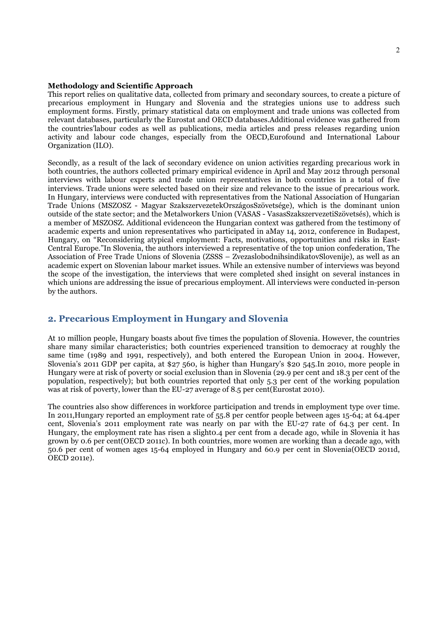#### **Methodology and Scientific Approach**

This report relies on qualitative data, collected from primary and secondary sources, to create a picture of precarious employment in Hungary and Slovenia and the strategies unions use to address such employment forms. Firstly, primary statistical data on employment and trade unions was collected from relevant databases, particularly the Eurostat and OECD databases.Additional evidence was gathered from the countries'labour codes as well as publications, media articles and press releases regarding union activity and labour code changes, especially from the OECD,Eurofound and International Labour Organization (ILO).

Secondly, as a result of the lack of secondary evidence on union activities regarding precarious work in both countries, the authors collected primary empirical evidence in April and May 2012 through personal interviews with labour experts and trade union representatives in both countries in a total of five interviews. Trade unions were selected based on their size and relevance to the issue of precarious work. In Hungary, interviews were conducted with representatives from the National Association of Hungarian Trade Unions (MSZOSZ - Magyar SzakszervezetekOrszágosSzövetsége), which is the dominant union outside of the state sector; and the Metalworkers Union (VASAS - VasasSzakszervezetiSzövetsés), which is a member of MSZOSZ. Additional evidenceon the Hungarian context was gathered from the testimony of academic experts and union representatives who participated in aMay 14, 2012, conference in Budapest, Hungary, on "Reconsidering atypical employment: Facts, motivations, opportunities and risks in East-Central Europe."In Slovenia, the authors interviewed a representative of the top union confederation, The Association of Free Trade Unions of Slovenia (ZSSS – ZvezaslobodnihsindikatovSlovenije), as well as an academic expert on Slovenian labour market issues. While an extensive number of interviews was beyond the scope of the investigation, the interviews that were completed shed insight on several instances in which unions are addressing the issue of precarious employment. All interviews were conducted in-person by the authors.

## **2. Precarious Employment in Hungary and Slovenia**

At 10 million people, Hungary boasts about five times the population of Slovenia. However, the countries share many similar characteristics; both countries experienced transition to democracy at roughly the same time (1989 and 1991, respectively), and both entered the European Union in 2004. However, Slovenia's 2011 GDP per capita, at \$27 560, is higher than Hungary's \$20 545.In 2010, more people in Hungary were at risk of poverty or social exclusion than in Slovenia (29.9 per cent and 18.3 per cent of the population, respectively); but both countries reported that only 5.3 per cent of the working population was at risk of poverty, lower than the EU-27 average of 8.5 per cent(Eurostat 2010).

The countries also show differences in workforce participation and trends in employment type over time. In 2011,Hungary reported an employment rate of 55.8 per centfor people between ages 15-64; at 64.4per cent, Slovenia's 2011 employment rate was nearly on par with the EU-27 rate of 64.3 per cent. In Hungary, the employment rate has risen a slight0.4 per cent from a decade ago, while in Slovenia it has grown by 0.6 per cent(OECD 2011c). In both countries, more women are working than a decade ago, with 50.6 per cent of women ages 15-64 employed in Hungary and 60.9 per cent in Slovenia(OECD 2011d, OECD 2011e).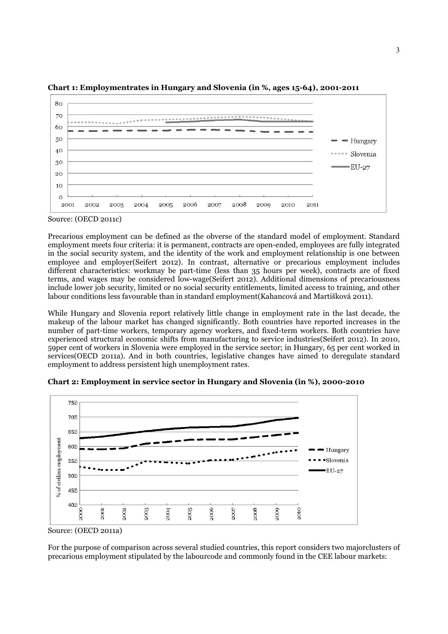



Source: (OECD 2011c)

Precarious employment can be defined as the obverse of the standard model of employment. Standard employment meets four criteria: it is permanent, contracts are open-ended, employees are fully integrated in the social security system, and the identity of the work and employment relationship is one between employee and employer(Seifert 2012). In contrast, alternative or precarious employment includes different characteristics: workmay be part-time (less than 35 hours per week), contracts are of fixed terms, and wages may be considered low-wage(Seifert 2012). Additional dimensions of precariousness include lower job security, limited or no social security entitlements, limited access to training, and other labour conditions less favourable than in standard employment(Kahancová and Martišková 2011).

While Hungary and Slovenia report relatively little change in employment rate in the last decade, the makeup of the labour market has changed significantly. Both countries have reported increases in the number of part-time workers, temporary agency workers, and fixed-term workers. Both countries have experienced structural economic shifts from manufacturing to service industries(Seifert 2012). In 2010, 59per cent of workers in Slovenia were employed in the service sector; in Hungary, 65 per cent worked in services(OECD 2011a). And in both countries, legislative changes have aimed to deregulate standard employment to address persistent high unemployment rates.



**Chart 2: Employment in service sector in Hungary and Slovenia (in %), 2000-2010**

For the purpose of comparison across several studied countries, this report considers two majorclusters of precarious employment stipulated by the labourcode and commonly found in the CEE labour markets: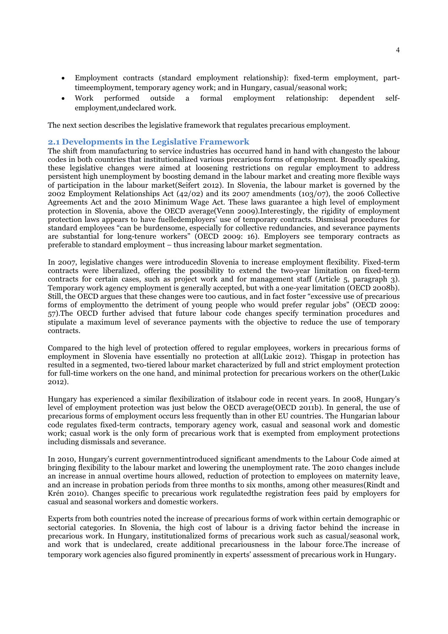- - Employment contracts (standard employment relationship): fixed-term employment, parttimeemployment, temporary agency work; and in Hungary, casual/seasonal work;
- - Work performed outside a formal employment relationship: dependent selfemployment,undeclared work.

The next section describes the legislative framework that regulates precarious employment.

### **2.1 Developments in the Legislative Framework**

The shift from manufacturing to service industries has occurred hand in hand with changesto the labour codes in both countries that institutionalized various precarious forms of employment. Broadly speaking, these legislative changes were aimed at loosening restrictions on regular employment to address persistent high unemployment by boosting demand in the labour market and creating more flexible ways of participation in the labour market(Seifert 2012). In Slovenia, the labour market is governed by the 2002 Employment Relationships Act (42/02) and its 2007 amendments (103/07), the 2006 Collective Agreements Act and the 2010 Minimum Wage Act. These laws guarantee a high level of employment protection in Slovenia, above the OECD average(Venn 2009).Interestingly, the rigidity of employment protection laws appears to have fuelledemployers' use of temporary contracts. Dismissal procedures for standard employees "can be burdensome, especially for collective redundancies, and severance payments are substantial for long-tenure workers" (OECD 2009: 16). Employers see temporary contracts as preferable to standard employment – thus increasing labour market segmentation.

In 2007, legislative changes were introducedin Slovenia to increase employment flexibility. Fixed-term contracts were liberalized, offering the possibility to extend the two-year limitation on fixed-term contracts for certain cases, such as project work and for management staff (Article 5, paragraph 3). Temporary work agency employment is generally accepted, but with a one-year limitation (OECD 2008b). Still, the OECD argues that these changes were too cautious, and in fact foster "excessive use of precarious forms of employmentto the detriment of young people who would prefer regular jobs" (OECD 2009: 57).The OECD further advised that future labour code changes specify termination procedures and stipulate a maximum level of severance payments with the objective to reduce the use of temporary contracts.

Compared to the high level of protection offered to regular employees, workers in precarious forms of employment in Slovenia have essentially no protection at all(Lukic 2012). Thisgap in protection has resulted in a segmented, two-tiered labour market characterized by full and strict employment protection for full-time workers on the one hand, and minimal protection for precarious workers on the other(Lukic 2012).

Hungary has experienced a similar flexibilization of itslabour code in recent years. In 2008, Hungary's level of employment protection was just below the OECD average(OECD 2011b). In general, the use of precarious forms of employment occurs less frequently than in other EU countries. The Hungarian labour code regulates fixed-term contracts, temporary agency work, casual and seasonal work and domestic work; casual work is the only form of precarious work that is exempted from employment protections including dismissals and severance.

In 2010, Hungary's current governmentintroduced significant amendments to the Labour Code aimed at bringing flexibility to the labour market and lowering the unemployment rate. The 2010 changes include an increase in annual overtime hours allowed, reduction of protection to employees on maternity leave, and an increase in probation periods from three months to six months, among other measures(Rindt and Krén 2010). Changes specific to precarious work regulatedthe registration fees paid by employers for casual and seasonal workers and domestic workers.

Experts from both countries noted the increase of precarious forms of work within certain demographic or sectorial categories. In Slovenia, the high cost of labour is a driving factor behind the increase in precarious work. In Hungary, institutionalized forms of precarious work such as casual/seasonal work, and work that is undeclared, create additional precariousness in the labour force.The increase of temporary work agencies also figured prominently in experts' assessment of precarious work in Hungary.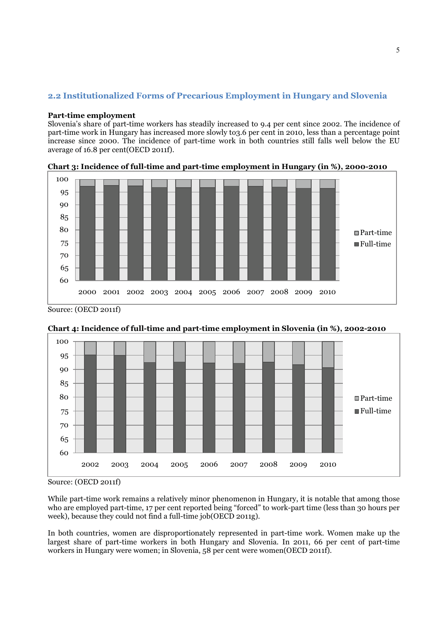## **2.2 Institutionalized Forms of Precarious Employment in Hungary and Slovenia**

### **Part-time employment**

Slovenia's share of part-time workers has steadily increased to 9.4 per cent since 2002. The incidence of part-time work in Hungary has increased more slowly to 3.6 per cent in 2010, less than a percentage point increase since 2000. The incidence of part-time work in both countries still falls well below the EU average of 16.8 per cent(OECD 2011f).



**Chart 3: Incidence of full-time and part-time employment in Hungary (in %), 2000-2010**

Source: (OECD 2011f)





While part-time work remains a relatively minor phenomenon in Hungary, it is notable that among those who are employed part-time, 17 per cent reported being "forced" to work-part time (less than 30 hours per week), because they could not find a full-time job(OECD 2011g).

In both countries, women are disproportionately represented in part-time work. Women make up the largest share of part-time workers in both Hungary and Slovenia. In 2011, 66 per cent of part-time workers in Hungary were women; in Slovenia, 58 per cent were women(OECD 2011f).

Source: (OECD 2011f)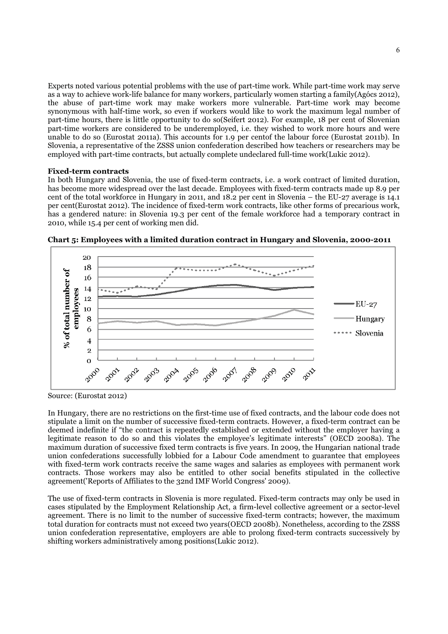Experts noted various potential problems with the use of part-time work. While part-time work may serve as a way to achieve work-life balance for many workers, particularly women starting a family(Agócs 2012), the abuse of part-time work may make workers more vulnerable. Part-time work may become synonymous with half-time work, so even if workers would like to work the maximum legal number of part-time hours, there is little opportunity to do so(Seifert 2012). For example, 18 per cent of Slovenian part-time workers are considered to be underemployed, i.e. they wished to work more hours and were unable to do so (Eurostat 2011a). This accounts for 1.9 per centof the labour force (Eurostat 2011b). In Slovenia, a representative of the ZSSS union confederation described how teachers or researchers may be employed with part-time contracts, but actually complete undeclared full-time work(Lukic 2012).

#### **Fixed-term contracts**

In both Hungary and Slovenia, the use of fixed-term contracts, i.e. a work contract of limited duration, has become more widespread over the last decade. Employees with fixed-term contracts made up 8.9 per cent of the total workforce in Hungary in 2011, and 18.2 per cent in Slovenia – the EU-27 average is 14.1 per cent(Eurostat 2012). The incidence of fixed-term work contracts, like other forms of precarious work, has a gendered nature: in Slovenia 19.3 per cent of the female workforce had a temporary contract in 2010, while 15.4 per cent of working men did.



**Chart 5: Employees with a limited duration contract in Hungary and Slovenia, 2000-2011**

Source: (Eurostat 2012)

In Hungary, there are no restrictions on the first-time use of fixed contracts, and the labour code does not stipulate a limit on the number of successive fixed-term contracts. However, a fixed-term contract can be deemed indefinite if "the contract is repeatedly established or extended without the employer having a legitimate reason to do so and this violates the employee's legitimate interests" (OECD 2008a). The maximum duration of successive fixed term contracts is five years. In 2009, the Hungarian national trade union confederations successfully lobbied for a Labour Code amendment to guarantee that employees with fixed-term work contracts receive the same wages and salaries as employees with permanent work contracts. Those workers may also be entitled to other social benefits stipulated in the collective agreement('Reports of Affiliates to the 32nd IMF World Congress' 2009).

The use of fixed-term contracts in Slovenia is more regulated. Fixed-term contracts may only be used in cases stipulated by the Employment Relationship Act, a firm-level collective agreement or a sector-level agreement. There is no limit to the number of successive fixed-term contracts; however, the maximum total duration for contracts must not exceed two years(OECD 2008b). Nonetheless, according to the ZSSS union confederation representative, employers are able to prolong fixed-term contracts successively by shifting workers administratively among positions(Lukic 2012).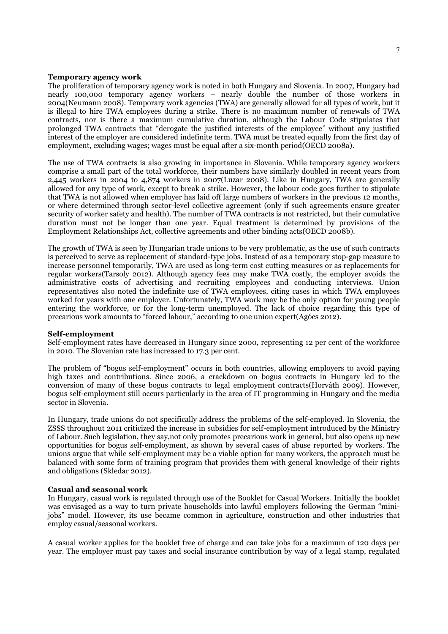#### **Temporary agency work**

The proliferation of temporary agency work is noted in both Hungary and Slovenia. In 2007, Hungary had nearly 100,000 temporary agency workers – nearly double the number of those workers in 2004(Neumann 2008). Temporary work agencies (TWA) are generally allowed for all types of work, but it is illegal to hire TWA employees during a strike. There is no maximum number of renewals of TWA contracts, nor is there a maximum cumulative duration, although the Labour Code stipulates that prolonged TWA contracts that "derogate the justified interests of the employee" without any justified interest of the employer are considered indefinite term. TWA must be treated equally from the first day of employment, excluding wages; wages must be equal after a six-month period(OECD 2008a).

The use of TWA contracts is also growing in importance in Slovenia. While temporary agency workers comprise a small part of the total workforce, their numbers have similarly doubled in recent years from 2,445 workers in 2004 to 4,874 workers in 2007(Luzar 2008). Like in Hungary, TWA are generally allowed for any type of work, except to break a strike. However, the labour code goes further to stipulate that TWA is not allowed when employer has laid off large numbers of workers in the previous 12 months, or where determined through sector-level collective agreement (only if such agreements ensure greater security of worker safety and health). The number of TWA contracts is not restricted, but their cumulative duration must not be longer than one year. Equal treatment is determined by provisions of the Employment Relationships Act, collective agreements and other binding acts(OECD 2008b).

The growth of TWA is seen by Hungarian trade unions to be very problematic, as the use of such contracts is perceived to serve as replacement of standard-type jobs. Instead of as a temporary stop-gap measure to increase personnel temporarily, TWA are used as long-term cost cutting measures or as replacements for regular workers(Tarsoly 2012). Although agency fees may make TWA costly, the employer avoids the administrative costs of advertising and recruiting employees and conducting interviews. Union representatives also noted the indefinite use of TWA employees, citing cases in which TWA employees worked for years with one employer. Unfortunately, TWA work may be the only option for young people entering the workforce, or for the long-term unemployed. The lack of choice regarding this type of precarious work amounts to "forced labour," according to one union expert(Agócs 2012).

#### **Self-employment**

Self-employment rates have decreased in Hungary since 2000, representing 12 per cent of the workforce in 2010. The Slovenian rate has increased to 17.3 per cent.

The problem of "bogus self-employment" occurs in both countries, allowing employers to avoid paying high taxes and contributions. Since 2006, a crackdown on bogus contracts in Hungary led to the conversion of many of these bogus contracts to legal employment contracts(Horváth 2009). However, bogus self-employment still occurs particularly in the area of IT programming in Hungary and the media sector in Slovenia.

In Hungary, trade unions do not specifically address the problems of the self-employed. In Slovenia, the ZSSS throughout 2011 criticized the increase in subsidies for self-employment introduced by the Ministry of Labour. Such legislation, they say,not only promotes precarious work in general, but also opens up new opportunities for bogus self-employment, as shown by several cases of abuse reported by workers. The unions argue that while self-employment may be a viable option for many workers, the approach must be balanced with some form of training program that provides them with general knowledge of their rights and obligations (Skledar 2012).

#### **Casual and seasonal work**

In Hungary, casual work is regulated through use of the Booklet for Casual Workers. Initially the booklet was envisaged as a way to turn private households into lawful employers following the German "minijobs" model. However, its use became common in agriculture, construction and other industries that employ casual/seasonal workers.

A casual worker applies for the booklet free of charge and can take jobs for a maximum of 120 days per year. The employer must pay taxes and social insurance contribution by way of a legal stamp, regulated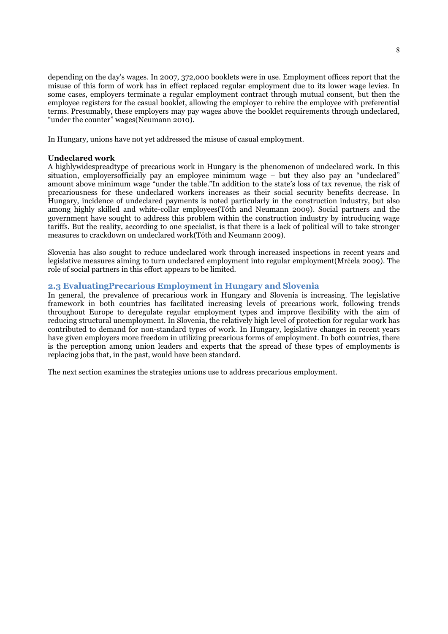depending on the day's wages. In 2007, 372,000 booklets were in use. Employment offices report that the misuse of this form of work has in effect replaced regular employment due to its lower wage levies. In some cases, employers terminate a regular employment contract through mutual consent, but then the employee registers for the casual booklet, allowing the employer to rehire the employee with preferential terms. Presumably, these employers may pay wages above the booklet requirements through undeclared, "under the counter" wages(Neumann 2010).

In Hungary, unions have not yet addressed the misuse of casual employment.

#### **Undeclared work**

A highlywidespreadtype of precarious work in Hungary is the phenomenon of undeclared work. In this situation, employersofficially pay an employee minimum wage – but they also pay an "undeclared" amount above minimum wage "under the table."In addition to the state's loss of tax revenue, the risk of precariousness for these undeclared workers increases as their social security benefits decrease. In Hungary, incidence of undeclared payments is noted particularly in the construction industry, but also among highly skilled and white-collar employees(Tóth and Neumann 2009). Social partners and the government have sought to address this problem within the construction industry by introducing wage tariffs. But the reality, according to one specialist, is that there is a lack of political will to take stronger measures to crackdown on undeclared work(Tóth and Neumann 2009).

Slovenia has also sought to reduce undeclared work through increased inspections in recent years and legislative measures aiming to turn undeclared employment into regular employment(Mrčela 2009). The role of social partners in this effort appears to be limited.

### **2.3 EvaluatingPrecarious Employment in Hungary and Slovenia**

In general, the prevalence of precarious work in Hungary and Slovenia is increasing. The legislative framework in both countries has facilitated increasing levels of precarious work, following trends throughout Europe to deregulate regular employment types and improve flexibility with the aim of reducing structural unemployment. In Slovenia, the relatively high level of protection for regular work has contributed to demand for non-standard types of work. In Hungary, legislative changes in recent years have given employers more freedom in utilizing precarious forms of employment. In both countries, there is the perception among union leaders and experts that the spread of these types of employments is replacing jobs that, in the past, would have been standard.

The next section examines the strategies unions use to address precarious employment.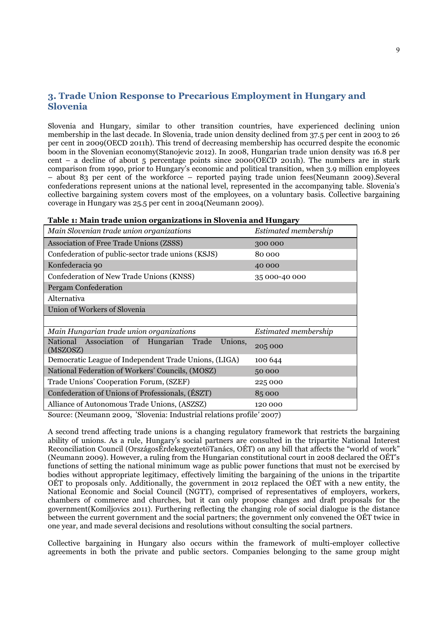## **3. Trade Union Response to Precarious Employment in Hungary and Slovenia**

Slovenia and Hungary, similar to other transition countries, have experienced declining union membership in the last decade. In Slovenia, trade union density declined from 37.5 per cent in 2003 to 26 per cent in 2009(OECD 2011h). This trend of decreasing membership has occurred despite the economic boom in the Slovenian economy(Stanojevic 2012). In 2008, Hungarian trade union density was 16.8 per cent – a decline of about 5 percentage points since  $2000$  (OECD 2011h). The numbers are in stark comparison from 1990, prior to Hungary's economic and political transition, when 3.9 million employees – about 83 per cent of the workforce – reported paying trade union fees(Neumann 2009).Several confederations represent unions at the national level, represented in the accompanying table. Slovenia's collective bargaining system covers most of the employees, on a voluntary basis. Collective bargaining coverage in Hungary was 25.5 per cent in 2004(Neumann 2009).

| Main Slovenian trade union organizations                          | Estimated membership |  |  |  |  |
|-------------------------------------------------------------------|----------------------|--|--|--|--|
| Association of Free Trade Unions (ZSSS)                           | 300 000              |  |  |  |  |
| Confederation of public-sector trade unions (KSJS)                | 80 000               |  |  |  |  |
| Konfederacia 90                                                   | 40 000               |  |  |  |  |
| Confederation of New Trade Unions (KNSS)                          | 35 000-40 000        |  |  |  |  |
| Pergam Confederation                                              |                      |  |  |  |  |
| Alternativa                                                       |                      |  |  |  |  |
| Union of Workers of Slovenia                                      |                      |  |  |  |  |
|                                                                   |                      |  |  |  |  |
| Main Hungarian trade union organizations                          | Estimated membership |  |  |  |  |
| National Association of Hungarian<br>Trade<br>Unions.<br>(MSZOSZ) | 205 000              |  |  |  |  |
| Democratic League of Independent Trade Unions, (LIGA)             | 100 644              |  |  |  |  |
| National Federation of Workers' Councils, (MOSZ)                  | 50 000               |  |  |  |  |
| Trade Unions' Cooperation Forum, (SZEF)                           | 225 000              |  |  |  |  |
| Confederation of Unions of Professionals, (ESZT)                  | 85 000               |  |  |  |  |
| Alliance of Autonomous Trade Unions, (ASZSZ)                      | 120 000              |  |  |  |  |
|                                                                   |                      |  |  |  |  |

#### **Table 1: Main trade union organizations in Slovenia and Hungary**

Source: (Neumann 2009, 'Slovenia: Industrial relations profile*'* 2007)

A second trend affecting trade unions is a changing regulatory framework that restricts the bargaining ability of unions. As a rule, Hungary's social partners are consulted in the tripartite National Interest Reconciliation Council (OrszágosÉrdekegyeztetöTanács, OÉT) on any bill that affects the "world of work" (Neumann 2009). However, a ruling from the Hungarian constitutional court in 2008 declared the OÉT's functions of setting the national minimum wage as public power functions that must not be exercised by bodies without appropriate legitimacy, effectively limiting the bargaining of the unions in the tripartite OÉT to proposals only. Additionally, the government in 2012 replaced the OÉT with a new entity, the National Economic and Social Council (NGTT), comprised of representatives of employers, workers, chambers of commerce and churches, but it can only propose changes and draft proposals for the government(Komiljovics 2011). Furthering reflecting the changing role of social dialogue is the distance between the current government and the social partners; the government only convened the OÉT twice in one year, and made several decisions and resolutions without consulting the social partners.

Collective bargaining in Hungary also occurs within the framework of multi-employer collective agreements in both the private and public sectors. Companies belonging to the same group might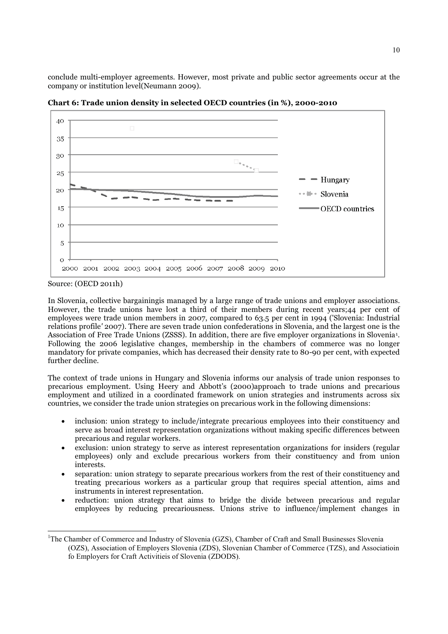conclude multi-employer agreements. However, most private and public sector agreements occur at the company or institution level(Neumann 2009).



**Chart 6: Trade union density in selected OECD countries (in %), 2000-2010**

Source: (OECD 2011h)

In Slovenia, collective bargainingis managed by a large range of trade unions and employer associations. However, the trade unions have lost a third of their members during recent years;44 per cent of employees were trade union members in 2007, compared to 63.5 per cent in 1994 ('Slovenia: Industrial relations profile*'* 2007). There are seven trade union confederations in Slovenia, and the largest one is the Association of Free Trade Unions (ZSSS). In addition, there are five employer organizations in Slovenia<sup>1</sup>. Following the 2006 legislative changes, membership in the chambers of commerce was no longer mandatory for private companies, which has decreased their density rate to 80-90 per cent, with expected further decline.

The context of trade unions in Hungary and Slovenia informs our analysis of trade union responses to precarious employment. Using Heery and Abbott's ( 2000)approach to trade unions and precarious employment and utilized in a coordinated framework on union strategies and instruments across six countries, we consider the trade union strategies on precarious work in the following dimensions:

- $\bullet$  inclusion: union strategy to include/integrate precarious employees into their constituency and serve as broad interest representation organizations without making specific differences between precarious and regular workers.
- exclusion: union strategy to serve as interest representation organizations for insiders (regular employees) only and exclude precarious workers from their constituency and from union interests.
- separation: union strategy to separate precarious workers from the rest of their constituency and treating precarious workers as a particular group that requires special attention, aims and instruments in interest representation.
- $\bullet$  reduction: union strategy that aims to bridge the divide between precarious and regular employees by reducing precariousness. Unions strive to influence/implement changes in

<sup>&</sup>lt;sup>1</sup>The Chamber of Commerce and Industry of Slovenia (GZS), Chamber of Craft and Small Businesses Slovenia (OZS), Association of Employers Slovenia (ZDS), Slovenian Chamber of Commerce (TZS), and Associatioin fo Employers for Craft Activitieis of Slovenia (ZDODS).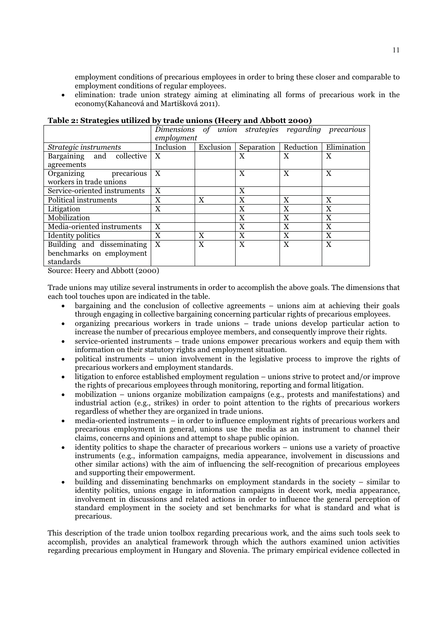employment conditions of precarious employees in order to bring these closer and comparable to employment conditions of regular employees.

 elimination: trade union strategy aiming at eliminating all forms of precarious work in the economy(Kahancová and Martišková 2011).

| Table $\epsilon$ , bu ategies utilized by trade unions (ricery and Abbott $\epsilon$ 000) |            |           |            |              |                                                     |  |  |
|-------------------------------------------------------------------------------------------|------------|-----------|------------|--------------|-----------------------------------------------------|--|--|
|                                                                                           |            |           |            |              | Dimensions of union strategies regarding precarious |  |  |
|                                                                                           | employment |           |            |              |                                                     |  |  |
| Strategic instruments                                                                     | Inclusion  | Exclusion | Separation | Reduction    | Elimination                                         |  |  |
| Bargaining and collective                                                                 | X          |           | X          | X            | X                                                   |  |  |
| agreements                                                                                |            |           |            |              |                                                     |  |  |
| Organizing<br>precarious                                                                  | X          |           | X          | X            | X                                                   |  |  |
| workers in trade unions                                                                   |            |           |            |              |                                                     |  |  |
| Service-oriented instruments                                                              | X          |           | X          |              |                                                     |  |  |
| Political instruments                                                                     | X          | X         | X          | X            | X                                                   |  |  |
| Litigation                                                                                | X          |           | X          | X            | X                                                   |  |  |
| Mobilization                                                                              |            |           | X          | X            | X                                                   |  |  |
| Media-oriented instruments                                                                | X          |           | X          | X            | X                                                   |  |  |
| Identity politics                                                                         | X          | X         | X          | $\mathbf{x}$ | X                                                   |  |  |
| Building and disseminating                                                                | X          | X         | X          | X            | X                                                   |  |  |
| benchmarks on employment                                                                  |            |           |            |              |                                                     |  |  |
| standards                                                                                 |            |           |            |              |                                                     |  |  |

## **Table 2: Strategies utilized by trade unions (Heery and Abbott 2000)**

Source: Heery and Abbott (2000)

Trade unions may utilize several instruments in order to accomplish the above goals. The dimensions that each tool touches upon are indicated in the table.

- $\bullet$  bargaining and the conclusion of collective agreements – unions aim at achieving their goals through engaging in collective bargaining concerning particular rights of precarious employees.
- organizing precarious workers in trade unions – trade unions develop particular action to increase the number of precarious employee members, and consequently improve their rights.
- service-oriented instruments – trade unions empower precarious workers and equip them with information on their statutory rights and employment situation.
- political instruments – union involvement in the legislative process to improve the rights of precarious workers and employment standards.
- $\bullet$  litigation to enforce established employment regulation – unions strive to protect and/or improve the rights of precarious employees through monitoring, reporting and formal litigation.
- $\bullet$  mobilization – unions organize mobilization campaigns (e.g., protests and manifestations) and industrial action (e.g., strikes) in order to point attention to the rights of precarious workers regardless of whether they are organized in trade unions.
- $\bullet$  media-oriented instruments – in order to influence employment rights of precarious workers and precarious employment in general, unions use the media as an instrument to channel their claims, concerns and opinions and attempt to shape public opinion.
- identity politics to shape the character of precarious workers – unions use a variety of proactive instruments (e.g., information campaigns, media appearance, involvement in discussions and other similar actions) with the aim of influencing the self-recognition of precarious employees and supporting their empowerment.
- $\bullet$  building and disseminating benchmarks on employment standards in the society – similar to identity politics, unions engage in information campaigns in decent work, media appearance, involvement in discussions and related actions in order to influence the general perception of standard employment in the society and set benchmarks for what is standard and what is precarious.

This description of the trade union toolbox regarding precarious work, and the aims such tools seek to accomplish, provides an analytical framework through which the authors examined union activities regarding precarious employment in Hungary and Slovenia. The primary empirical evidence collected in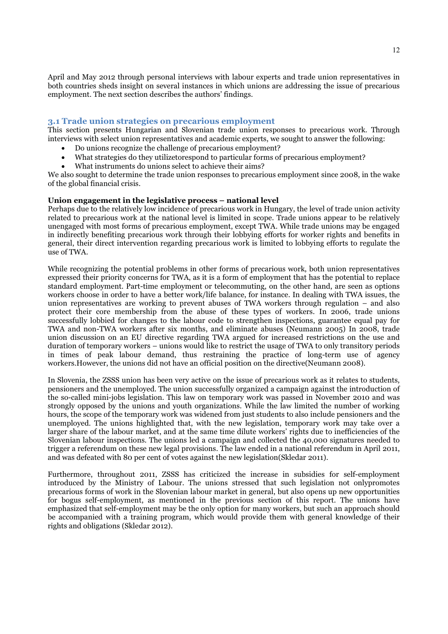April and May 2012 through personal interviews with labour experts and trade union representatives in both countries sheds insight on several instances in which unions are addressing the issue of precarious employment. The next section describes the authors' findings.

## **3.1 Trade union strategies on precarious employment**

This section presents Hungarian and Slovenian trade union responses to precarious work. Through interviews with select union representatives and academic experts, we sought to answer the following:

- -Do unions recognize the challenge of precarious employment?
- -What strategies do they utilizetorespond to particular forms of precarious employment?
- -What instruments do unions select to achieve their aims?

We also sought to determine the trade union responses to precarious employment since 2008, in the wake of the global financial crisis.

### **Union engagement in the legislative process – national level**

Perhaps due to the relatively low incidence of precarious work in Hungary, the level of trade union activity related to precarious work at the national level is limited in scope. Trade unions appear to be relatively unengaged with most forms of precarious employment, except TWA. While trade unions may be engaged in indirectly benefiting precarious work through their lobbying efforts for worker rights and benefits in general, their direct intervention regarding precarious work is limited to lobbying efforts to regulate the use of TWA.

While recognizing the potential problems in other forms of precarious work, both union representatives expressed their priority concerns for TWA, as it is a form of employment that has the potential to replace standard employment. Part-time employment or telecommuting, on the other hand, are seen as options workers choose in order to have a better work/life balance, for instance. In dealing with TWA issues, the union representatives are working to prevent abuses of TWA workers through regulation – and also protect their core membership from the abuse of these types of workers. In 2006, trade unions successfully lobbied for changes to the labour code to strengthen inspections, guarantee equal pay for TWA and non-TWA workers after six months, and eliminate abuses (Neumann 2005) In 2008, trade union discussion on an EU directive regarding TWA argued for increased restrictions on the use and duration of temporary workers – unions would like to restrict the usage of TWA to only transitory periods in times of peak labour demand, thus restraining the practice of long-term use of agency workers.However, the unions did not have an official position on the directive(Neumann 2008).

In Slovenia, the ZSSS union has been very active on the issue of precarious work as it relates to students, pensioners and the unemployed. The union successfully organized a campaign against the introduction of the so-called mini-jobs legislation. This law on temporary work was passed in November 2010 and was strongly opposed by the unions and youth organizations. While the law limited the number of working hours, the scope of the temporary work was widened from just students to also include pensioners and the unemployed. The unions highlighted that, with the new legislation, temporary work may take over a larger share of the labour market, and at the same time dilute workers' rights due to inefficiencies of the Slovenian labour inspections. The unions led a campaign and collected the 40,000 signatures needed to trigger a referendum on these new legal provisions. The law ended in a national referendum in April 2011, and was defeated with 80 per cent of votes against the new legislation(Skledar 2011).

Furthermore, throughout 2011, ZSSS has criticized the increase in subsidies for self-employment introduced by the Ministry of Labour. The unions stressed that such legislation not onlypromotes precarious forms of work in the Slovenian labour market in general, but also opens up new opportunities for bogus self-employment, as mentioned in the previous section of this report. The unions have emphasized that self-employment may be the only option for many workers, but such an approach should be accompanied with a training program, which would provide them with general knowledge of their rights and obligations (Skledar 2012).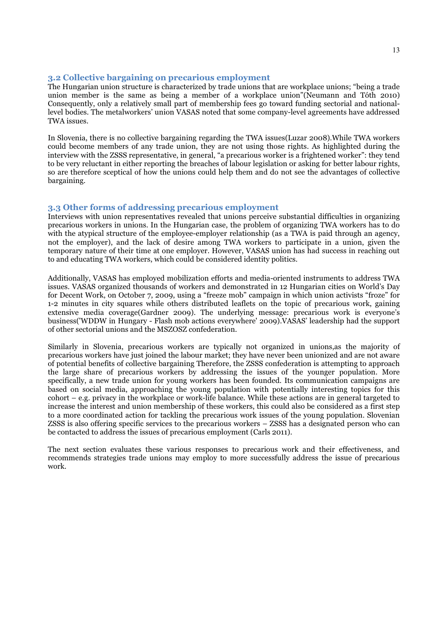## **3.2 Collective bargaining on precarious employment**

The Hungarian union structure is characterized by trade unions that are workplace unions; "being a trade union member is the same as being a member of a workplace union"(Neumann and Tóth 2010) Consequently, only a relatively small part of membership fees go toward funding sectorial and nationallevel bodies. The metalworkers' union VASAS noted that some company-level agreements have addressed TWA issues.

In Slovenia, there is no collective bargaining regarding the TWA issues(Luzar 2008).While TWA workers could become members of any trade union, they are not using those rights. As highlighted during the interview with the ZSSS representative, in general, "a precarious worker is a frightened worker": they tend to be very reluctant in either reporting the breaches of labour legislation or asking for better labour rights, so are therefore sceptical of how the unions could help them and do not see the advantages of collective bargaining.

### **3.3 Other forms of addressing precarious employment**

Interviews with union representatives revealed that unions perceive substantial difficulties in organizing precarious workers in unions. In the Hungarian case, the problem of organizing TWA workers has to do with the atypical structure of the employee-employer relationship (as a TWA is paid through an agency, not the employer), and the lack of desire among TWA workers to participate in a union, given the temporary nature of their time at one employer. However, VASAS union has had success in reaching out to and educating TWA workers, which could be considered identity politics.

Additionally, VASAS has employed mobilization efforts and media-oriented instruments to address TWA issues. VASAS organized thousands of workers and demonstrated in 12 Hungarian cities on World's Day for Decent Work, on October 7, 2009, using a "freeze mob" campaign in which union activists "froze" for 1-2 minutes in city squares while others distributed leaflets on the topic of precarious work, gaining extensive media coverage(Gardner 2009). The underlying message: precarious work is everyone's business('WDDW in Hungary - Flash mob actions everywhere' 2009).VASAS' leadership had the support of other sectorial unions and the MSZOSZ confederation.

Similarly in Slovenia, precarious workers are typically not organized in unions,as the majority of precarious workers have just joined the labour market; they have never been unionized and are not aware of potential benefits of collective bargaining Therefore, the ZSSS confederation is attempting to approach the large share of precarious workers by addressing the issues of the younger population. More specifically, a new trade union for young workers has been founded. Its communication campaigns are based on social media, approaching the young population with potentially interesting topics for this cohort – e.g. privacy in the workplace or work-life balance. While these actions are in general targeted to increase the interest and union membership of these workers, this could also be considered as a first step to a more coordinated action for tackling the precarious work issues of the young population. Slovenian ZSSS is also offering specific services to the precarious workers – ZSSS has a designated person who can be contacted to address the issues of precarious employment (Carls 2011).

The next section evaluates these various responses to precarious work and their effectiveness, and recommends strategies trade unions may employ to more successfully address the issue of precarious work.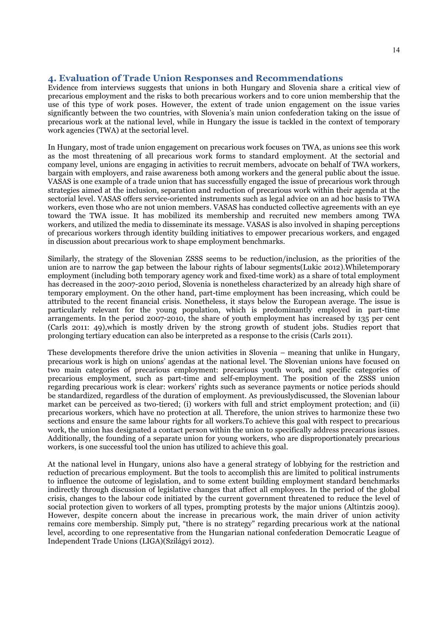## **4. Evaluation of Trade Union Responses and Recommendations**

Evidence from interviews suggests that unions in both Hungary and Slovenia share a critical view of precarious employment and the risks to both precarious workers and to core union membership that the use of this type of work poses. However, the extent of trade union engagement on the issue varies significantly between the two countries, with Slovenia's main union confederation taking on the issue of precarious work at the national level, while in Hungary the issue is tackled in the context of temporary work agencies (TWA) at the sectorial level.

In Hungary, most of trade union engagement on precarious work focuses on TWA, as unions see this work as the most threatening of all precarious work forms to standard employment. At the sectorial and company level, unions are engaging in activities to recruit members, advocate on behalf of TWA workers, bargain with employers, and raise awareness both among workers and the general public about the issue. VASAS is one example of a trade union that has successfully engaged the issue of precarious work through strategies aimed at the inclusion, separation and reduction of precarious work within their agenda at the sectorial level. VASAS offers service-oriented instruments such as legal advice on an ad hoc basis to TWA workers, even those who are not union members. VASAS has conducted collective agreements with an eye toward the TWA issue. It has mobilized its membership and recruited new members among TWA workers, and utilized the media to disseminate its message. VASAS is also involved in shaping perceptions of precarious workers through identity building initiatives to empower precarious workers, and engaged in discussion about precarious work to shape employment benchmarks.

Similarly, the strategy of the Slovenian ZSSS seems to be reduction/inclusion, as the priorities of the union are to narrow the gap between the labour rights of labour segments(Lukic 2012).Whiletemporary employment (including both temporary agency work and fixed-time work) as a share of total employment has decreased in the 2007-2010 period, Slovenia is nonetheless characterized by an already high share of temporary employment. On the other hand, part-time employment has been increasing, which could be attributed to the recent financial crisis. Nonetheless, it stays below the European average. The issue is particularly relevant for the young population, which is predominantly employed in part-time arrangements. In the period 2007-2010, the share of youth employment has increased by 135 per cent (Carls 2011: 49),which is mostly driven by the strong growth of student jobs. Studies report that prolonging tertiary education can also be interpreted as a response to the crisis (Carls 2011).

These developments therefore drive the union activities in Slovenia – meaning that unlike in Hungary, precarious work is high on unions' agendas at the national level. The Slovenian unions have focused on two main categories of precarious employment: precarious youth work, and specific categories of precarious employment, such as part-time and self-employment. The position of the ZSSS union regarding precarious work is clear: workers' rights such as severance payments or notice periods should be standardized, regardless of the duration of employment. As previouslydiscussed, the Slovenian labour market can be perceived as two-tiered; (i) workers with full and strict employment protection; and (ii) precarious workers, which have no protection at all. Therefore, the union strives to harmonize these two sections and ensure the same labour rights for all workers.To achieve this goal with respect to precarious work, the union has designated a contact person within the union to specifically address precarious issues. Additionally, the founding of a separate union for young workers, who are disproportionately precarious workers, is one successful tool the union has utilized to achieve this goal.

At the national level in Hungary, unions also have a general strategy of lobbying for the restriction and reduction of precarious employment. But the tools to accomplish this are limited to political instruments to influence the outcome of legislation, and to some extent building employment standard benchmarks indirectly through discussion of legislative changes that affect all employees. In the period of the global crisis, changes to the labour code initiated by the current government threatened to reduce the level of social protection given to workers of all types, prompting protests by the major unions (Altintzis 2009). However, despite concern about the increase in precarious work, the main driver of union activity remains core membership. Simply put, "there is no strategy" regarding precarious work at the national level, according to one representative from the Hungarian national confederation Democratic League of Independent Trade Unions (LIGA)(Szilágyi 2012).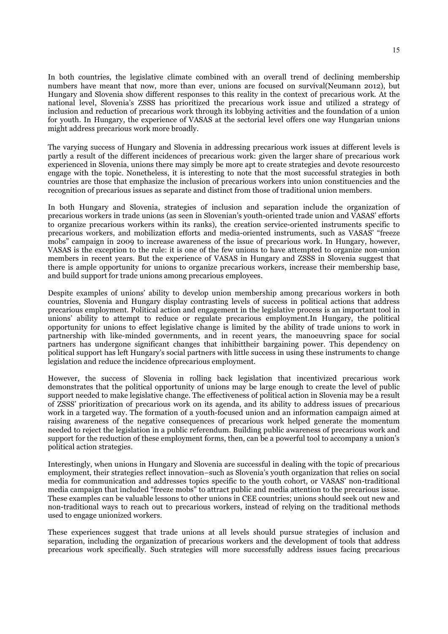In both countries, the legislative climate combined with an overall trend of declining membership numbers have meant that now, more than ever, unions are focused on survival(Neumann 2012), but Hungary and Slovenia show different responses to this reality in the context of precarious work. At the national level, Slovenia's ZSSS has prioritized the precarious work issue and utilized a strategy of inclusion and reduction of precarious work through its lobbying activities and the foundation of a union for youth. In Hungary, the experience of VASAS at the sectorial level offers one way Hungarian unions might address precarious work more broadly.

The varying success of Hungary and Slovenia in addressing precarious work issues at different levels is partly a result of the different incidences of precarious work: given the larger share of precarious work experienced in Slovenia, unions there may simply be more apt to create strategies and devote resourcesto engage with the topic. Nonetheless, it is interesting to note that the most successful strategies in both countries are those that emphasize the inclusion of precarious workers into union constituencies and the recognition of precarious issues as separate and distinct from those of traditional union members.

In both Hungary and Slovenia, strategies of inclusion and separation include the organization of precarious workers in trade unions (as seen in Slovenian's youth-oriented trade union and VASAS' efforts to organize precarious workers within its ranks), the creation service-oriented instruments specific to precarious workers, and mobilization efforts and media-oriented instruments, such as VASAS' "freeze mobs" campaign in 2009 to increase awareness of the issue of precarious work. In Hungary, however, VASAS is the exception to the rule: it is one of the few unions to have attempted to organize non-union members in recent years. But the experience of VASAS in Hungary and ZSSS in Slovenia suggest that there is ample opportunity for unions to organize precarious workers, increase their membership base, and build support for trade unions among precarious employees.

Despite examples of unions' ability to develop union membership among precarious workers in both countries, Slovenia and Hungary display contrasting levels of success in political actions that address precarious employment. Political action and engagement in the legislative process is an important tool in unions' ability to attempt to reduce or regulate precarious employment.In Hungary, the political opportunity for unions to effect legislative change is limited by the ability of trade unions to work in partnership with like-minded governments, and in recent years, the manoeuvring space for social partners has undergone significant changes that inhibittheir bargaining power. This dependency on political support has left Hungary's social partners with little success in using these instruments to change legislation and reduce the incidence ofprecarious employment.

However, the success of Slovenia in rolling back legislation that incentivized precarious work demonstrates that the political opportunity of unions may be large enough to create the level of public support needed to make legislative change. The effectiveness of political action in Slovenia may be a result of ZSSS' prioritization of precarious work on its agenda, and its ability to address issues of precarious work in a targeted way. The formation of a youth-focused union and an information campaign aimed at raising awareness of the negative consequences of precarious work helped generate the momentum needed to reject the legislation in a public referendum. Building public awareness of precarious work and support for the reduction of these employment forms, then, can be a powerful tool to accompany a union's political action strategies.

Interestingly, when unions in Hungary and Slovenia are successful in dealing with the topic of precarious employment, their strategies reflect innovation–such as Slovenia's youth organization that relies on social media for communication and addresses topics specific to the youth cohort, or VASAS' non-traditional media campaign that included "freeze mobs" to attract public and media attention to the precarious issue. These examples can be valuable lessons to other unions in CEE countries; unions should seek out new and non-traditional ways to reach out to precarious workers, instead of relying on the traditional methods used to engage unionized workers.

These experiences suggest that trade unions at all levels should pursue strategies of inclusion and separation, including the organization of precarious workers and the development of tools that address precarious work specifically. Such strategies will more successfully address issues facing precarious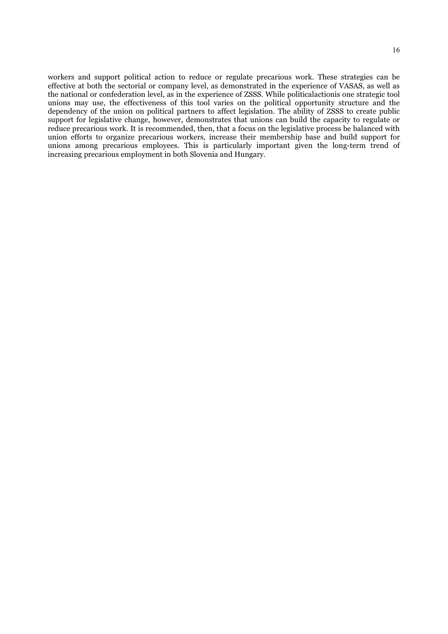16

workers and support political action to reduce or regulate precarious work. These strategies can be effective at both the sectorial or company level, as demonstrated in the experience of VASAS, as well as the national or confederation level, as in the experience of ZSSS. While politicalactionis one strategic tool unions may use, the effectiveness of this tool varies on the political opportunity structure and the dependency of the union on political partners to affect legislation. The ability of ZSSS to create public support for legislative change, however, demonstrates that unions can build the capacity to regulate or reduce precarious work. It is recommended, then, that a focus on the legislative process be balanced with union efforts to organize precarious workers, increase their membership base and build support for unions among precarious employees. This is particularly important given the long-term trend of increasing precarious employment in both Slovenia and Hungary.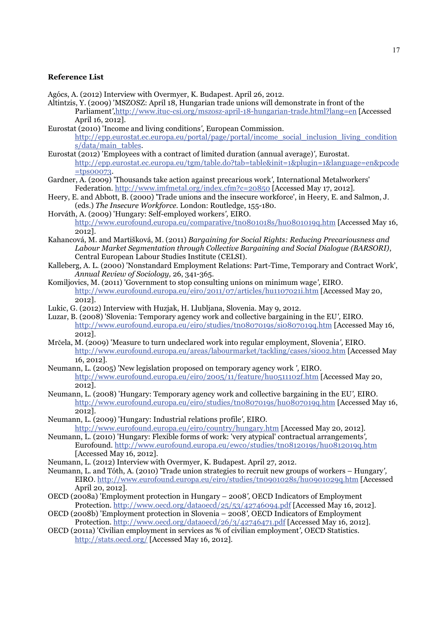### **Reference List**

- Agócs, A. (2012) Interview with Overmyer, K. Budapest. April 26, 2012.
- Altintzis, Y. (2009) 'MSZOSZ: April 18, Hungarian trade unions will demonstrate in front of the Parliament*',*http://www.ituc-csi.org/mszosz-april-18-hungarian-trade.html?lang=en [Accessed April 16, 2012].
- Eurostat (2010) 'Income and living conditions*',* European Commission. http://epp.eurostat.ec.europa.eu/portal/page/portal/income\_social\_inclusion\_living\_condition s/data/main\_tables.
- Eurostat (2012) 'Employees with a contract of limited duration (annual average)*',* Eurostat. http://epp.eurostat.ec.europa.eu/tgm/table.do?tab=table&init=1&plugin=1&language=en&pcode =tps00073.
- Gardner, A. (2009) 'Thousands take action against precarious work*',* International Metalworkers' Federation. http://www.imfmetal.org/index.cfm?c=20850 [Accessed May 17, 2012].
- Heery, E. and Abbott, B. (2000) 'Trade unions and the insecure workforce', in Heery, E. and Salmon, J. (eds.) *The Insecure Workforce.* London: Routledge, 155-180.
- Horváth, A. (2009) 'Hungary: Self-employed workers*',* EIRO. http://www.eurofound.europa.eu/comparative/tn0801018s/hu0801019q.htm [Accessed May 16, 2012].
- Kahancová, M. and Martišková, M. (2011) *Bargaining for Social Rights: Reducing Precariousness and Labour Market Segmentation through Collective Bargaining and Social Dialogue (BARSORI)*, Central European Labour Studies Institute (CELSI).
- Kalleberg, A. L. (2000) 'Nonstandard Employment Relations: Part-Time, Temporary and Contract Work', *Annual Review of Sociology,* 26, 341-365.
- Komiljovics, M. (2011) 'Government to stop consulting unions on minimum wage*',* EIRO. http://www.eurofound.europa.eu/eiro/2011/07/articles/hu1107021i.htm [Accessed May 20, 2012].
- Lukic, G. (2012) Interview with Huzjak, H. Llubljana, Slovenia. May 9, 2012.
- Luzar, B. (2008) 'Slovenia: Temporary agency work and collective bargaining in the EU*',* EIRO. http://www.eurofound.europa.eu/eiro/studies/tn0807019s/si0807019q.htm [Accessed May 16, 2012].
- Mr-ela, M. (2009) 'Measure to turn undeclared work into regular employment, Slovenia*',* EIRO. http://www.eurofound.europa.eu/areas/labourmarket/tackling/cases/si002.htm [Accessed May 16, 2012].
- Neumann, L. (2005) 'New legislation proposed on temporary agency work *',* EIRO. http://www.eurofound.europa.eu/eiro/2005/11/feature/hu0511102f.htm [Accessed May 20, 2012].
- Neumann, L. (2008) 'Hungary: Temporary agency work and collective bargaining in the EU*',* EIRO. http://www.eurofound.europa.eu/eiro/studies/tn0807019s/hu0807019q.htm [Accessed May 16, 2012].
- Neumann, L. (2009) 'Hungary: Industrial relations profile*',* EIRO.

http://www.eurofound.europa.eu/eiro/country/hungary.htm [Accessed May 20, 2012]. Neumann, L. (2010) 'Hungary: Flexible forms of work: 'very atypical' contractual arrangements*',*

- Eurofound. http://www.eurofound.europa.eu/ewco/studies/tn0812019s/hu0812019q.htm [Accessed May 16, 2012].
- Neumann, L. (2012) Interview with Overmyer, K. Budapest. April 27, 2012.
- Neumann, L. and Tóth, A. (2010) 'Trade union strategies to recruit new groups of workers Hungary*',* EIRO. http://www.eurofound.europa.eu/eiro/studies/tn0901028s/hu0901029q.htm [Accessed April 20, 2012].
- OECD (2008a) 'Employment protection in Hungary 2008*',* OECD Indicators of Employment Protection. http://www.oecd.org/dataoecd/25/53/42746094.pdf [Accessed May 16, 2012].
- OECD (2008b) 'Employment protection in Slovenia 2008*',* OECD Indicators of Employment Protection. http://www.oecd.org/dataoecd/26/3/42746471.pdf [Accessed May 16, 2012].
- OECD (2011a) 'Civilian employment in services as % of civilian employment*',* OECD Statistics. http://stats.oecd.org/ [Accessed May 16, 2012].